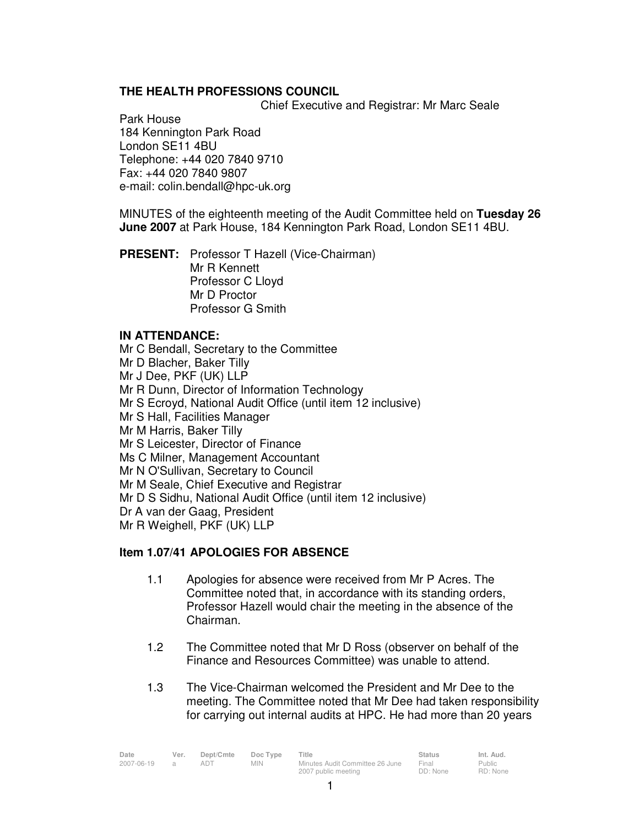# **THE HEALTH PROFESSIONS COUNCIL**

Chief Executive and Registrar: Mr Marc Seale

Park House 184 Kennington Park Road London SE11 4BU Telephone: +44 020 7840 9710 Fax: +44 020 7840 9807 e-mail: colin.bendall@hpc-uk.org

MINUTES of the eighteenth meeting of the Audit Committee held on **Tuesday 26 June 2007** at Park House, 184 Kennington Park Road, London SE11 4BU.

**PRESENT:** Professor T Hazell (Vice-Chairman) Mr R Kennett Professor C Lloyd Mr D Proctor Professor G Smith

#### **IN ATTENDANCE:**

Mr C Bendall, Secretary to the Committee Mr D Blacher, Baker Tilly Mr J Dee, PKF (UK) LLP Mr R Dunn, Director of Information Technology Mr S Ecroyd, National Audit Office (until item 12 inclusive) Mr S Hall, Facilities Manager Mr M Harris, Baker Tilly Mr S Leicester, Director of Finance Ms C Milner, Management Accountant Mr N O'Sullivan, Secretary to Council Mr M Seale, Chief Executive and Registrar Mr D S Sidhu, National Audit Office (until item 12 inclusive) Dr A van der Gaag, President Mr R Weighell, PKF (UK) LLP

### **Item 1.07/41 APOLOGIES FOR ABSENCE**

- 1.1 Apologies for absence were received from Mr P Acres. The Committee noted that, in accordance with its standing orders, Professor Hazell would chair the meeting in the absence of the Chairman.
- 1.2 The Committee noted that Mr D Ross (observer on behalf of the Finance and Resources Committee) was unable to attend.
- 1.3 The Vice-Chairman welcomed the President and Mr Dee to the meeting. The Committee noted that Mr Dee had taken responsibility for carrying out internal audits at HPC. He had more than 20 years

| Date       | Ver. | Dept/Cmte | Doc Type   | Title                           | <b>Status</b> | Int. Aud. |
|------------|------|-----------|------------|---------------------------------|---------------|-----------|
| 2007-06-19 |      | adt       | <b>MIN</b> | Minutes Audit Committee 26 June | Final         | Public    |
|            |      |           |            | 2007 public meeting             | DD: None      | RD: None  |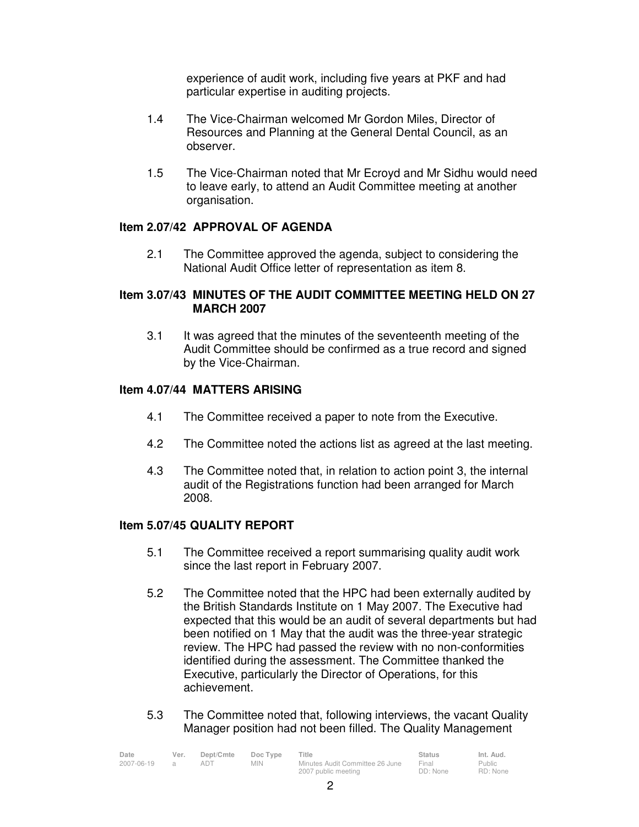experience of audit work, including five years at PKF and had particular expertise in auditing projects.

- 1.4 The Vice-Chairman welcomed Mr Gordon Miles, Director of Resources and Planning at the General Dental Council, as an observer.
- 1.5 The Vice-Chairman noted that Mr Ecroyd and Mr Sidhu would need to leave early, to attend an Audit Committee meeting at another organisation.

## **Item 2.07/42 APPROVAL OF AGENDA**

2.1 The Committee approved the agenda, subject to considering the National Audit Office letter of representation as item 8.

### **Item 3.07/43 MINUTES OF THE AUDIT COMMITTEE MEETING HELD ON 27 MARCH 2007**

 3.1 It was agreed that the minutes of the seventeenth meeting of the Audit Committee should be confirmed as a true record and signed by the Vice-Chairman.

## **Item 4.07/44 MATTERS ARISING**

- 4.1 The Committee received a paper to note from the Executive.
- 4.2 The Committee noted the actions list as agreed at the last meeting.
- 4.3 The Committee noted that, in relation to action point 3, the internal audit of the Registrations function had been arranged for March 2008.

### **Item 5.07/45 QUALITY REPORT**

- 5.1 The Committee received a report summarising quality audit work since the last report in February 2007.
- 5.2 The Committee noted that the HPC had been externally audited by the British Standards Institute on 1 May 2007. The Executive had expected that this would be an audit of several departments but had been notified on 1 May that the audit was the three-year strategic review. The HPC had passed the review with no non-conformities identified during the assessment. The Committee thanked the Executive, particularly the Director of Operations, for this achievement.
- 5.3 The Committee noted that, following interviews, the vacant Quality Manager position had not been filled. The Quality Management

| Date       | Ver. | Dept/Cmte | Doc Type | Title                           | <b>Status</b> | Int. Aud. |
|------------|------|-----------|----------|---------------------------------|---------------|-----------|
| 2007-06-19 |      | ad i      | MIN.     | Minutes Audit Committee 26 June | Final         | Public    |
|            |      |           |          | 2007 public meeting             | DD: None      | RD: None  |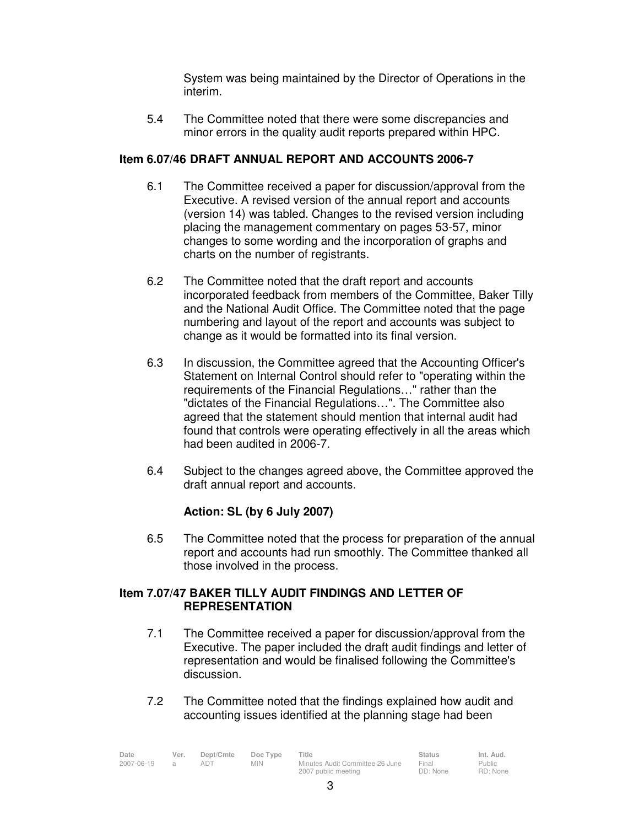System was being maintained by the Director of Operations in the interim.

 5.4 The Committee noted that there were some discrepancies and minor errors in the quality audit reports prepared within HPC.

### **Item 6.07/46 DRAFT ANNUAL REPORT AND ACCOUNTS 2006-7**

- 6.1 The Committee received a paper for discussion/approval from the Executive. A revised version of the annual report and accounts (version 14) was tabled. Changes to the revised version including placing the management commentary on pages 53-57, minor changes to some wording and the incorporation of graphs and charts on the number of registrants.
- 6.2 The Committee noted that the draft report and accounts incorporated feedback from members of the Committee, Baker Tilly and the National Audit Office. The Committee noted that the page numbering and layout of the report and accounts was subject to change as it would be formatted into its final version.
- 6.3 In discussion, the Committee agreed that the Accounting Officer's Statement on Internal Control should refer to "operating within the requirements of the Financial Regulations…" rather than the "dictates of the Financial Regulations…". The Committee also agreed that the statement should mention that internal audit had found that controls were operating effectively in all the areas which had been audited in 2006-7.
- 6.4 Subject to the changes agreed above, the Committee approved the draft annual report and accounts.

# **Action: SL (by 6 July 2007)**

6.5 The Committee noted that the process for preparation of the annual report and accounts had run smoothly. The Committee thanked all those involved in the process.

# **Item 7.07/47 BAKER TILLY AUDIT FINDINGS AND LETTER OF REPRESENTATION**

- 7.1 The Committee received a paper for discussion/approval from the Executive. The paper included the draft audit findings and letter of representation and would be finalised following the Committee's discussion.
- 7.2 The Committee noted that the findings explained how audit and accounting issues identified at the planning stage had been

| Date       | Ver. | Dept/Cmte | Doc Type   | Title                           | <b>Status</b>     | Int. Aud.     |
|------------|------|-----------|------------|---------------------------------|-------------------|---------------|
| 2007-06-19 |      | ADT       | <b>MIN</b> | Minutes Audit Committee 26 June | Final<br>DD: None | <b>Public</b> |
|            |      |           |            | 2007 public meeting             |                   | RD: None      |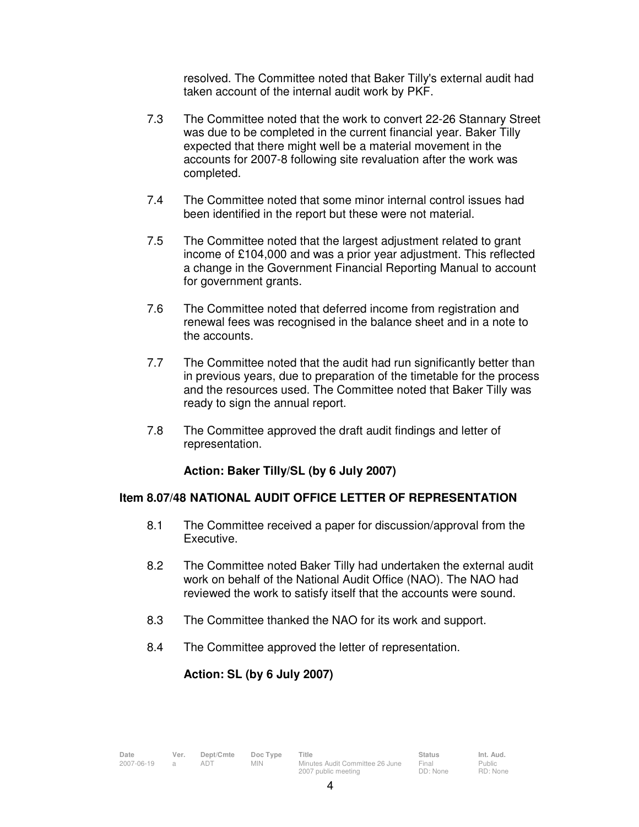resolved. The Committee noted that Baker Tilly's external audit had taken account of the internal audit work by PKF.

- 7.3 The Committee noted that the work to convert 22-26 Stannary Street was due to be completed in the current financial year. Baker Tilly expected that there might well be a material movement in the accounts for 2007-8 following site revaluation after the work was completed.
- 7.4 The Committee noted that some minor internal control issues had been identified in the report but these were not material.
- 7.5 The Committee noted that the largest adjustment related to grant income of £104,000 and was a prior year adjustment. This reflected a change in the Government Financial Reporting Manual to account for government grants.
- 7.6 The Committee noted that deferred income from registration and renewal fees was recognised in the balance sheet and in a note to the accounts.
- 7.7 The Committee noted that the audit had run significantly better than in previous years, due to preparation of the timetable for the process and the resources used. The Committee noted that Baker Tilly was ready to sign the annual report.
- 7.8 The Committee approved the draft audit findings and letter of representation.

### **Action: Baker Tilly/SL (by 6 July 2007)**

### **Item 8.07/48 NATIONAL AUDIT OFFICE LETTER OF REPRESENTATION**

- 8.1 The Committee received a paper for discussion/approval from the Executive.
- 8.2 The Committee noted Baker Tilly had undertaken the external audit work on behalf of the National Audit Office (NAO). The NAO had reviewed the work to satisfy itself that the accounts were sound.
- 8.3 The Committee thanked the NAO for its work and support.
- 8.4 The Committee approved the letter of representation.

### **Action: SL (by 6 July 2007)**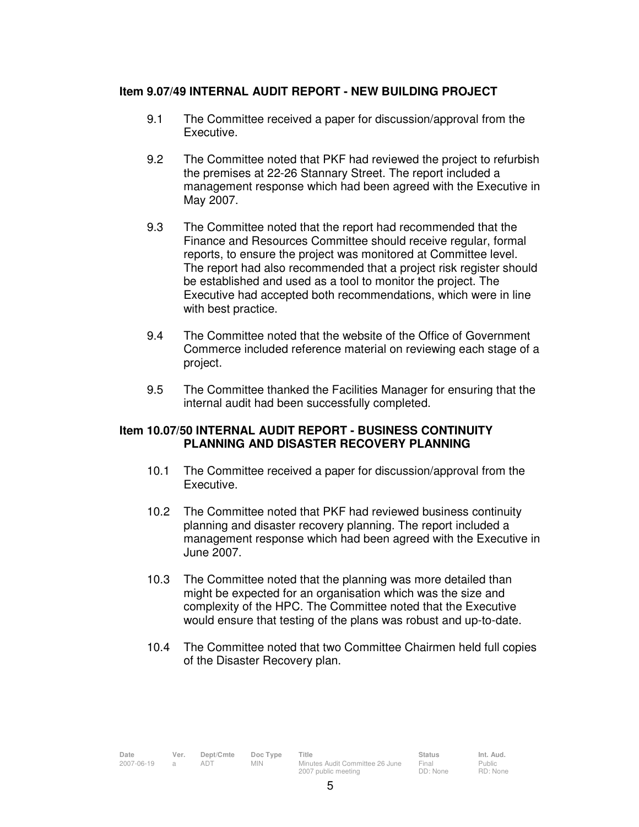#### **Item 9.07/49 INTERNAL AUDIT REPORT - NEW BUILDING PROJECT**

- 9.1 The Committee received a paper for discussion/approval from the Executive.
- 9.2 The Committee noted that PKF had reviewed the project to refurbish the premises at 22-26 Stannary Street. The report included a management response which had been agreed with the Executive in May 2007.
- 9.3 The Committee noted that the report had recommended that the Finance and Resources Committee should receive regular, formal reports, to ensure the project was monitored at Committee level. The report had also recommended that a project risk register should be established and used as a tool to monitor the project. The Executive had accepted both recommendations, which were in line with best practice.
- 9.4 The Committee noted that the website of the Office of Government Commerce included reference material on reviewing each stage of a project.
- 9.5 The Committee thanked the Facilities Manager for ensuring that the internal audit had been successfully completed.

#### **Item 10.07/50 INTERNAL AUDIT REPORT - BUSINESS CONTINUITY PLANNING AND DISASTER RECOVERY PLANNING**

- 10.1 The Committee received a paper for discussion/approval from the Executive.
- 10.2 The Committee noted that PKF had reviewed business continuity planning and disaster recovery planning. The report included a management response which had been agreed with the Executive in June 2007.
- 10.3 The Committee noted that the planning was more detailed than might be expected for an organisation which was the size and complexity of the HPC. The Committee noted that the Executive would ensure that testing of the plans was robust and up-to-date.
- 10.4 The Committee noted that two Committee Chairmen held full copies of the Disaster Recovery plan.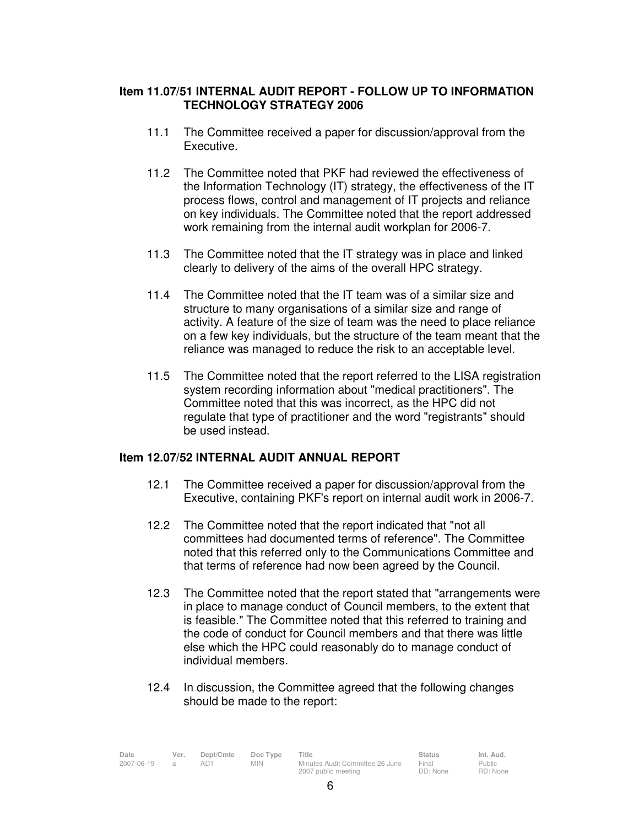### **Item 11.07/51 INTERNAL AUDIT REPORT - FOLLOW UP TO INFORMATION TECHNOLOGY STRATEGY 2006**

- 11.1 The Committee received a paper for discussion/approval from the Executive.
- 11.2 The Committee noted that PKF had reviewed the effectiveness of the Information Technology (IT) strategy, the effectiveness of the IT process flows, control and management of IT projects and reliance on key individuals. The Committee noted that the report addressed work remaining from the internal audit workplan for 2006-7.
- 11.3 The Committee noted that the IT strategy was in place and linked clearly to delivery of the aims of the overall HPC strategy.
- 11.4 The Committee noted that the IT team was of a similar size and structure to many organisations of a similar size and range of activity. A feature of the size of team was the need to place reliance on a few key individuals, but the structure of the team meant that the reliance was managed to reduce the risk to an acceptable level.
- 11.5 The Committee noted that the report referred to the LISA registration system recording information about "medical practitioners". The Committee noted that this was incorrect, as the HPC did not regulate that type of practitioner and the word "registrants" should be used instead.

### **Item 12.07/52 INTERNAL AUDIT ANNUAL REPORT**

- 12.1 The Committee received a paper for discussion/approval from the Executive, containing PKF's report on internal audit work in 2006-7.
- 12.2 The Committee noted that the report indicated that "not all committees had documented terms of reference". The Committee noted that this referred only to the Communications Committee and that terms of reference had now been agreed by the Council.
- 12.3 The Committee noted that the report stated that "arrangements were in place to manage conduct of Council members, to the extent that is feasible." The Committee noted that this referred to training and the code of conduct for Council members and that there was little else which the HPC could reasonably do to manage conduct of individual members.
- 12.4 In discussion, the Committee agreed that the following changes should be made to the report:

| Date       | Ver. | Dept/Cmte | Doc Type   | Title                           | <b>Status</b> | Int. Aud. |
|------------|------|-----------|------------|---------------------------------|---------------|-----------|
| 2007-06-19 |      |           | <b>MIN</b> | Minutes Audit Committee 26 June | Final         | Public    |
|            |      |           |            | 2007 public meeting             | DD: None      | RD: None  |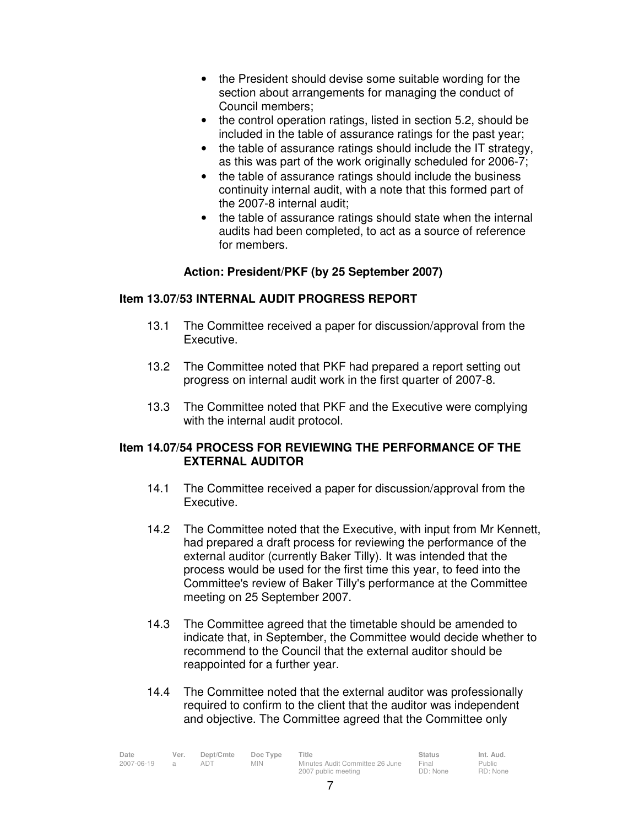- the President should devise some suitable wording for the section about arrangements for managing the conduct of Council members;
- the control operation ratings, listed in section 5.2, should be included in the table of assurance ratings for the past year;
- the table of assurance ratings should include the IT strategy, as this was part of the work originally scheduled for 2006-7;
- the table of assurance ratings should include the business continuity internal audit, with a note that this formed part of the 2007-8 internal audit;
- the table of assurance ratings should state when the internal audits had been completed, to act as a source of reference for members.

## **Action: President/PKF (by 25 September 2007)**

## **Item 13.07/53 INTERNAL AUDIT PROGRESS REPORT**

- 13.1 The Committee received a paper for discussion/approval from the Executive.
- 13.2 The Committee noted that PKF had prepared a report setting out progress on internal audit work in the first quarter of 2007-8.
- 13.3 The Committee noted that PKF and the Executive were complying with the internal audit protocol.

#### **Item 14.07/54 PROCESS FOR REVIEWING THE PERFORMANCE OF THE EXTERNAL AUDITOR**

- 14.1 The Committee received a paper for discussion/approval from the Executive.
- 14.2 The Committee noted that the Executive, with input from Mr Kennett, had prepared a draft process for reviewing the performance of the external auditor (currently Baker Tilly). It was intended that the process would be used for the first time this year, to feed into the Committee's review of Baker Tilly's performance at the Committee meeting on 25 September 2007.
- 14.3 The Committee agreed that the timetable should be amended to indicate that, in September, the Committee would decide whether to recommend to the Council that the external auditor should be reappointed for a further year.
- 14.4 The Committee noted that the external auditor was professionally required to confirm to the client that the auditor was independent and objective. The Committee agreed that the Committee only

| Date       | Ver. | Dept/Cmte | Doc Type   | Title                           | <b>Status</b> | Int. Aud. |
|------------|------|-----------|------------|---------------------------------|---------------|-----------|
| 2007-06-19 |      |           | <b>MIN</b> | Minutes Audit Committee 26 June | Final         | Public    |
|            |      |           |            | 2007 public meeting             | DD: None      | RD: None  |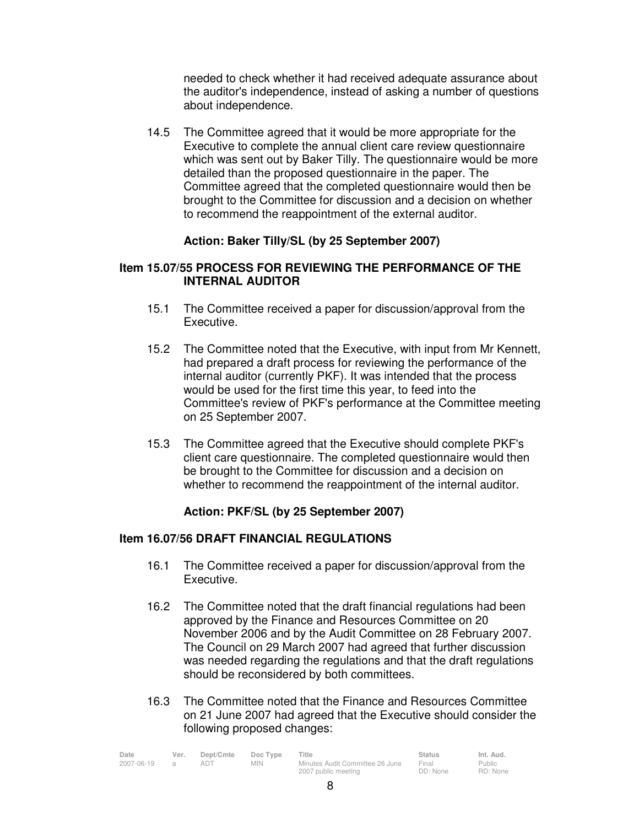needed to check whether it had received adequate assurance about the auditor's independence, instead of asking a number of questions about independence.

 14.5 The Committee agreed that it would be more appropriate for the Executive to complete the annual client care review questionnaire which was sent out by Baker Tilly. The questionnaire would be more detailed than the proposed questionnaire in the paper. The Committee agreed that the completed questionnaire would then be brought to the Committee for discussion and a decision on whether to recommend the reappointment of the external auditor.

### **Action: Baker Tilly/SL (by 25 September 2007)**

### **Item 15.07/55 PROCESS FOR REVIEWING THE PERFORMANCE OF THE INTERNAL AUDITOR**

- 15.1 The Committee received a paper for discussion/approval from the Executive.
- 15.2 The Committee noted that the Executive, with input from Mr Kennett, had prepared a draft process for reviewing the performance of the internal auditor (currently PKF). It was intended that the process would be used for the first time this year, to feed into the Committee's review of PKF's performance at the Committee meeting on 25 September 2007.
- 15.3 The Committee agreed that the Executive should complete PKF's client care questionnaire. The completed questionnaire would then be brought to the Committee for discussion and a decision on whether to recommend the reappointment of the internal auditor.

### **Action: PKF/SL (by 25 September 2007)**

#### **Item 16.07/56 DRAFT FINANCIAL REGULATIONS**

- 16.1 The Committee received a paper for discussion/approval from the Executive.
- 16.2 The Committee noted that the draft financial regulations had been approved by the Finance and Resources Committee on 20 November 2006 and by the Audit Committee on 28 February 2007. The Council on 29 March 2007 had agreed that further discussion was needed regarding the regulations and that the draft regulations should be reconsidered by both committees.
- 16.3 The Committee noted that the Finance and Resources Committee on 21 June 2007 had agreed that the Executive should consider the following proposed changes:

| Date       | Ver. | Dept/Cmte | Doc Type | Title                           | <b>Status</b> | Int. Aud. |
|------------|------|-----------|----------|---------------------------------|---------------|-----------|
| 2007-06-19 |      |           | MIN.     | Minutes Audit Committee 26 June | Final         | Public    |
|            |      |           |          | 2007 public meeting             | DD: None      | RD: None  |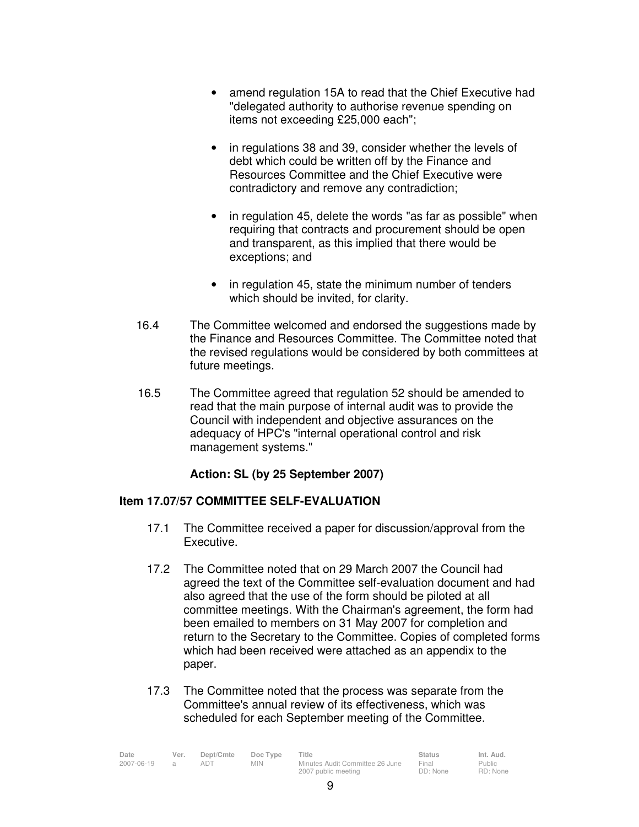- amend regulation 15A to read that the Chief Executive had "delegated authority to authorise revenue spending on items not exceeding £25,000 each";
- in regulations 38 and 39, consider whether the levels of debt which could be written off by the Finance and Resources Committee and the Chief Executive were contradictory and remove any contradiction;
- in regulation 45, delete the words "as far as possible" when requiring that contracts and procurement should be open and transparent, as this implied that there would be exceptions; and
- in regulation 45, state the minimum number of tenders which should be invited, for clarity.
- 16.4 The Committee welcomed and endorsed the suggestions made by the Finance and Resources Committee. The Committee noted that the revised regulations would be considered by both committees at future meetings.
- 16.5 The Committee agreed that regulation 52 should be amended to read that the main purpose of internal audit was to provide the Council with independent and objective assurances on the adequacy of HPC's "internal operational control and risk management systems."

# **Action: SL (by 25 September 2007)**

### **Item 17.07/57 COMMITTEE SELF-EVALUATION**

- 17.1 The Committee received a paper for discussion/approval from the Executive.
- 17.2 The Committee noted that on 29 March 2007 the Council had agreed the text of the Committee self-evaluation document and had also agreed that the use of the form should be piloted at all committee meetings. With the Chairman's agreement, the form had been emailed to members on 31 May 2007 for completion and return to the Secretary to the Committee. Copies of completed forms which had been received were attached as an appendix to the paper.
- 17.3 The Committee noted that the process was separate from the Committee's annual review of its effectiveness, which was scheduled for each September meeting of the Committee.

| Date       | Ver. | Dept/Cmte | Doc Type   | Title                           | Status   | Int. Aud. |
|------------|------|-----------|------------|---------------------------------|----------|-----------|
| 2007-06-19 |      | adt       | <b>MIN</b> | Minutes Audit Committee 26 June | Final    | Public    |
|            |      |           |            | 2007 public meeting             | DD: None | RD: None  |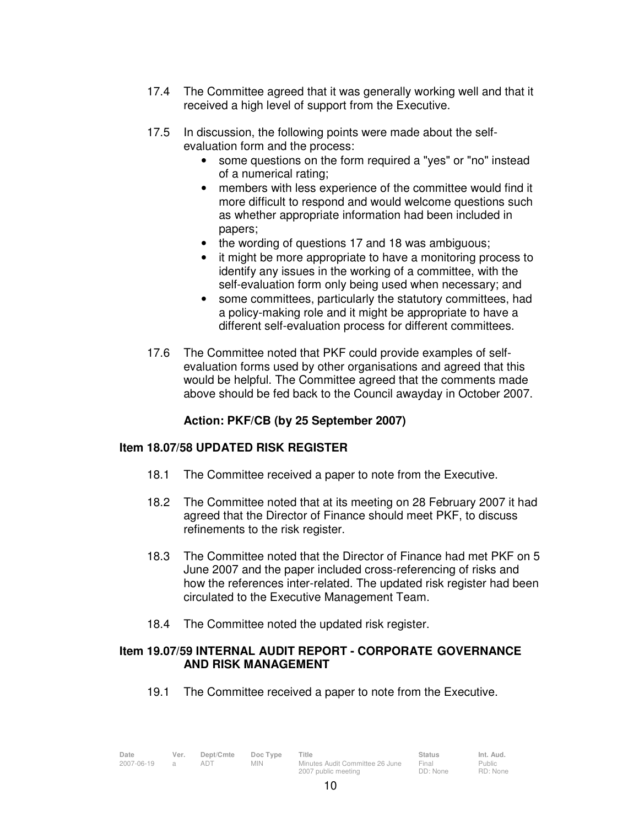- 17.4 The Committee agreed that it was generally working well and that it received a high level of support from the Executive.
- 17.5 In discussion, the following points were made about the selfevaluation form and the process:
	- some questions on the form required a "yes" or "no" instead of a numerical rating;
	- members with less experience of the committee would find it more difficult to respond and would welcome questions such as whether appropriate information had been included in papers;
	- the wording of questions 17 and 18 was ambiguous;
	- it might be more appropriate to have a monitoring process to identify any issues in the working of a committee, with the self-evaluation form only being used when necessary; and
	- some committees, particularly the statutory committees, had a policy-making role and it might be appropriate to have a different self-evaluation process for different committees.
- 17.6 The Committee noted that PKF could provide examples of self evaluation forms used by other organisations and agreed that this would be helpful. The Committee agreed that the comments made above should be fed back to the Council awayday in October 2007.

# **Action: PKF/CB (by 25 September 2007)**

### **Item 18.07/58 UPDATED RISK REGISTER**

- 18.1 The Committee received a paper to note from the Executive.
- 18.2 The Committee noted that at its meeting on 28 February 2007 it had agreed that the Director of Finance should meet PKF, to discuss refinements to the risk register.
- 18.3 The Committee noted that the Director of Finance had met PKF on 5 June 2007 and the paper included cross-referencing of risks and how the references inter-related. The updated risk register had been circulated to the Executive Management Team.
- 18.4 The Committee noted the updated risk register.

#### **Item 19.07/59 INTERNAL AUDIT REPORT - CORPORATE GOVERNANCE AND RISK MANAGEMENT**

19.1 The Committee received a paper to note from the Executive.

| Date       | Ver. | Dept/Cmte | Doc Type   | Title                           | <b>Status</b> | Int. Aud. |
|------------|------|-----------|------------|---------------------------------|---------------|-----------|
| 2007-06-19 |      |           | <b>MIN</b> | Minutes Audit Committee 26 June | Final         | Public    |
|            |      |           |            | 2007 public meeting             | DD: None      | RD: None  |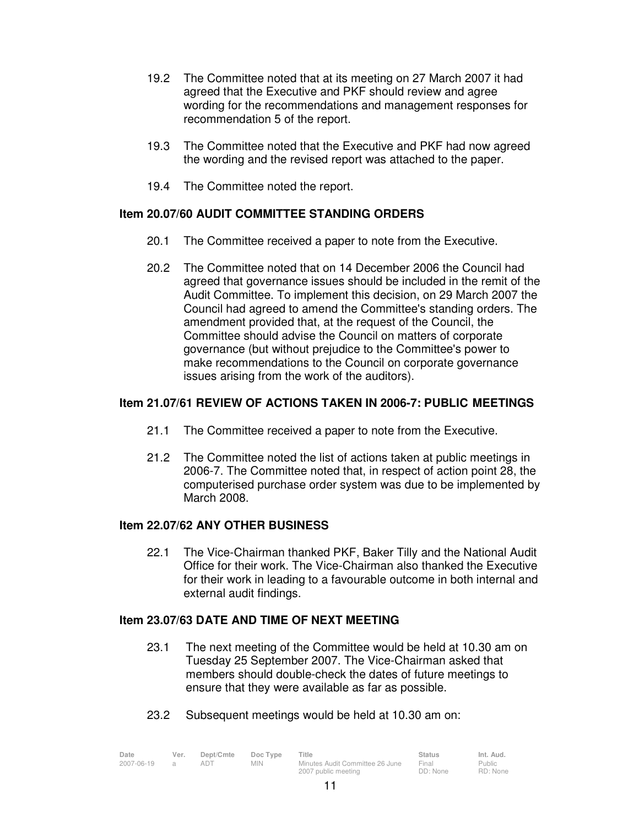- 19.2 The Committee noted that at its meeting on 27 March 2007 it had agreed that the Executive and PKF should review and agree wording for the recommendations and management responses for recommendation 5 of the report.
- 19.3 The Committee noted that the Executive and PKF had now agreed the wording and the revised report was attached to the paper.
- 19.4 The Committee noted the report.

## **Item 20.07/60 AUDIT COMMITTEE STANDING ORDERS**

- 20.1 The Committee received a paper to note from the Executive.
- 20.2 The Committee noted that on 14 December 2006 the Council had agreed that governance issues should be included in the remit of the Audit Committee. To implement this decision, on 29 March 2007 the Council had agreed to amend the Committee's standing orders. The amendment provided that, at the request of the Council, the Committee should advise the Council on matters of corporate governance (but without prejudice to the Committee's power to make recommendations to the Council on corporate governance issues arising from the work of the auditors).

## **Item 21.07/61 REVIEW OF ACTIONS TAKEN IN 2006-7: PUBLIC MEETINGS**

- 21.1 The Committee received a paper to note from the Executive.
- 21.2 The Committee noted the list of actions taken at public meetings in 2006-7. The Committee noted that, in respect of action point 28, the computerised purchase order system was due to be implemented by March 2008.

### **Item 22.07/62 ANY OTHER BUSINESS**

22.1 The Vice-Chairman thanked PKF, Baker Tilly and the National Audit Office for their work. The Vice-Chairman also thanked the Executive for their work in leading to a favourable outcome in both internal and external audit findings.

### **Item 23.07/63 DATE AND TIME OF NEXT MEETING**

- 23.1 The next meeting of the Committee would be held at 10.30 am on Tuesday 25 September 2007. The Vice-Chairman asked that members should double-check the dates of future meetings to ensure that they were available as far as possible.
- 23.2 Subsequent meetings would be held at 10.30 am on:

| Date       | Ver. | Dept/Cmte | Doc Type   | Title                           | <b>Status</b> | Int. Aud. |
|------------|------|-----------|------------|---------------------------------|---------------|-----------|
| 2007-06-19 |      |           | <b>MIN</b> | Minutes Audit Committee 26 June | Final         | Public    |
|            |      |           |            | 2007 public meeting             | DD: None      | RD: None  |